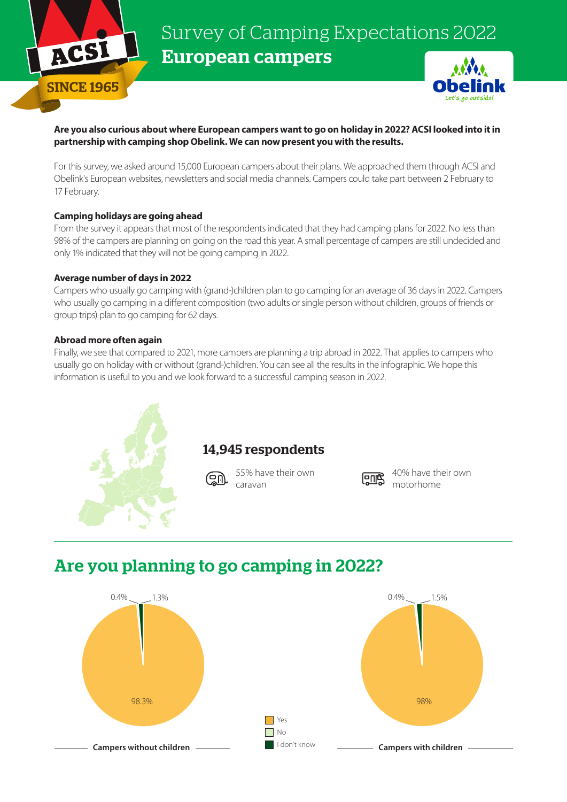

Survey of Camping Expectations 2022 European campers



### **Are you also curious about where European campers want to go on holiday in 2022? ACSI looked into it in partnership with camping shop Obelink. We can now present you with the results.**

For this survey, we asked around 15,000 European campers about their plans. We approached them through ACSI and Obelink's European websites, newsletters and social media channels. Campers could take part between 2 February to 17 February.

### **Camping holidays are going ahead**

From the survey it appears that most of the respondents indicated that they had camping plans for 2022. No less than 98% of the campers are planning on going on the road this year. A small percentage of campers are still undecided and only 1% indicated that they will not be going camping in 2022.

#### **Average number of days in 2022**

Campers who usually go camping with (grand-)children plan to go camping for an average of 36 days in 2022. Campers who usually go camping in a different composition (two adults or single person without children, groups of friends or group trips) plan to go camping for 62 days.

### **Abroad more often again**

Finally, we see that compared to 2021, more campers are planning a trip abroad in 2022. That applies to campers who usually go on holiday with or without (grand-)children. You can see all the results in the infographic. We hope this information is useful to you and we look forward to a successful camping season in 2022.



## 14,945 respondents

55% have their own caravan



40% have their own motorhome

## Are you planning to go camping in 2022?